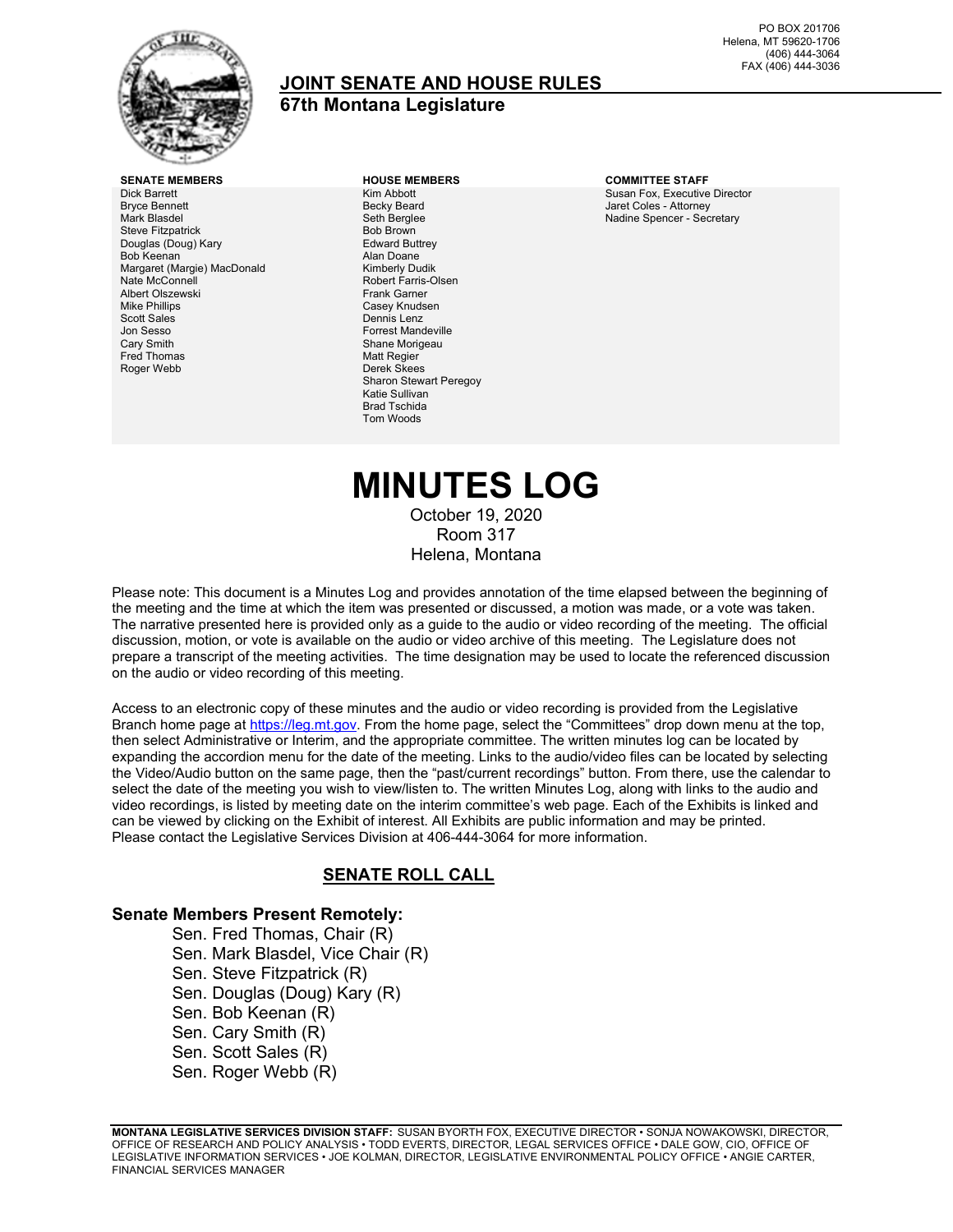

## **JOINT SENATE AND HOUSE RULES**

## **67th Montana Legislature**

**SENATE MEMBERS HOUSE MEMBERS COMMITTEE STAFF** Dick Barrett Bryce Bennett Mark Blasdel Steve Fitzpatrick Douglas (Doug) Kary Bob Keenan Margaret (Margie) MacDonald Nate McConnell Albert Olszewski Mike Phillips Scott Sales Jon Sesso Cary Smith Fred Thomas Roger Webb

Kim Abbott Becky Beard Seth Berglee Bob Brown Edward Buttrey Alan Doane Kimberly Dudik Robert Farris-Olsen Frank Garner Casey Knudsen Dennis Lenz Forrest Mandeville Shane Morigeau Matt Regier Derek Skees Sharon Stewart Peregoy Katie Sullivan Brad Tschida Tom Woods

Susan Fox, Executive Director Jaret Coles - Attorney Nadine Spencer - Secretary

## **MINUTES LOG** October 19, 2020 Room 317 Helena, Montana

Please note: This document is a Minutes Log and provides annotation of the time elapsed between the beginning of the meeting and the time at which the item was presented or discussed, a motion was made, or a vote was taken. The narrative presented here is provided only as a guide to the audio or video recording of the meeting. The official discussion, motion, or vote is available on the audio or video archive of this meeting. The Legislature does not prepare a transcript of the meeting activities. The time designation may be used to locate the referenced discussion on the audio or video recording of this meeting.

Access to an electronic copy of these minutes and the audio or video recording is provided from the Legislative Branch home page a[t https://leg.mt.gov.](http://legmt.gov/) From the home page, select the "Committees" drop down menu at the top, then select Administrative or Interim, and the appropriate committee. The written minutes log can be located by expanding the accordion menu for the date of the meeting. Links to the audio/video files can be located by selecting the Video/Audio button on the same page, then the "past/current recordings" button. From there, use the calendar to select the date of the meeting you wish to view/listen to. The written Minutes Log, along with links to the audio and video recordings, is listed by meeting date on the interim committee's web page. Each of the Exhibits is linked and can be viewed by clicking on the Exhibit of interest. All Exhibits are public information and may be printed. Please contact the Legislative Services Division at 406-444-3064 for more information.

### **SENATE ROLL CALL**

#### **Senate Members Present Remotely:**

Sen. Fred Thomas, Chair (R) Sen. Mark Blasdel, Vice Chair (R) Sen. Steve Fitzpatrick (R) Sen. Douglas (Doug) Kary (R) Sen. Bob Keenan (R) Sen. Cary Smith (R) Sen. Scott Sales (R) Sen. Roger Webb (R)

**MONTANA LEGISLATIVE SERVICES DIVISION STAFF:** SUSAN BYORTH FOX, EXECUTIVE DIRECTOR • SONJA NOWAKOWSKI, DIRECTOR, OFFICE OF RESEARCH AND POLICY ANALYSIS • TODD EVERTS, DIRECTOR, LEGAL SERVICES OFFICE • DALE GOW, CIO, OFFICE OF LEGISLATIVE INFORMATION SERVICES • JOE KOLMAN, DIRECTOR, LEGISLATIVE ENVIRONMENTAL POLICY OFFICE • ANGIE CARTER, FINANCIAL SERVICES MANAGER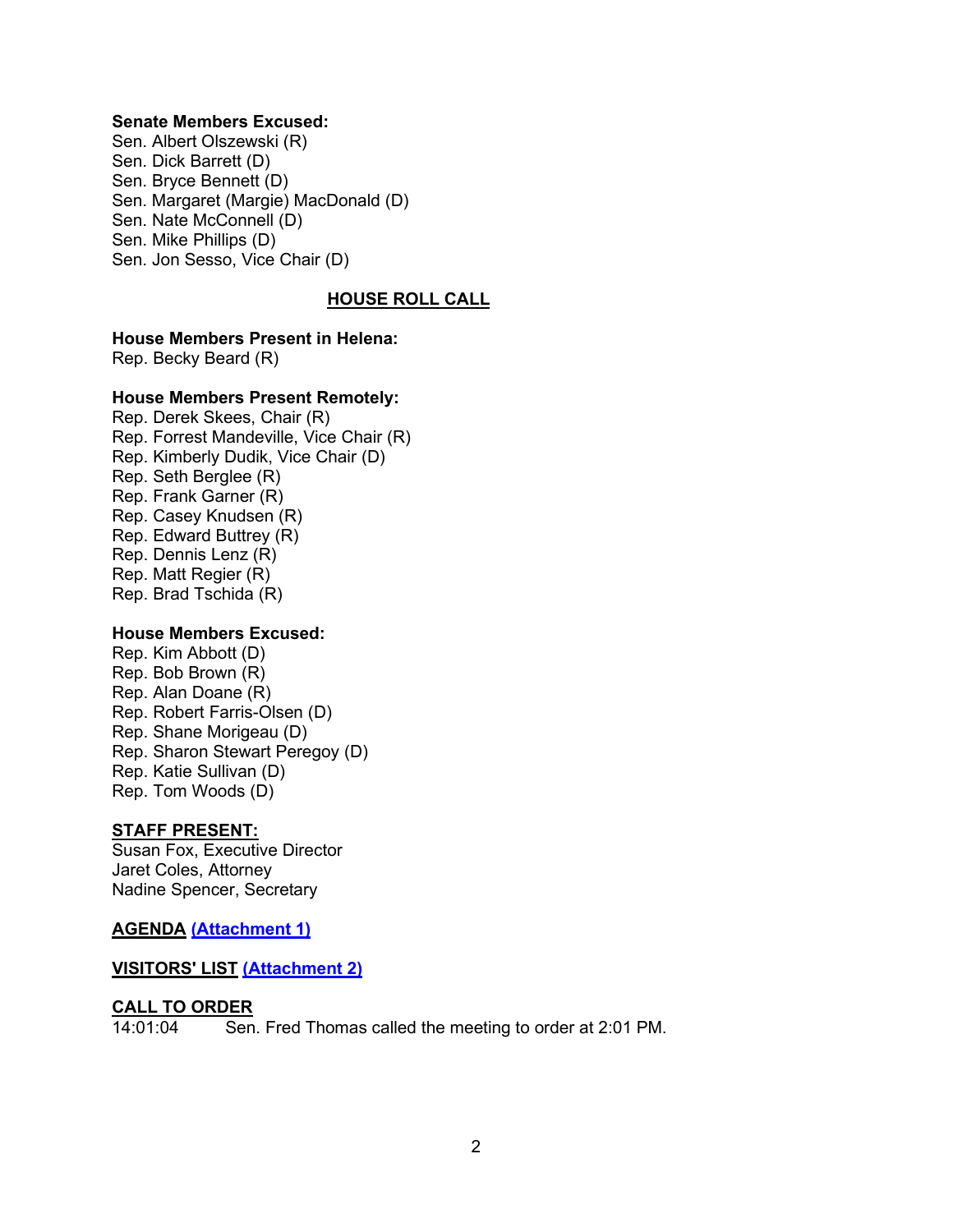#### **Senate Members Excused:**

Sen. Albert Olszewski (R) Sen. Dick Barrett (D) Sen. Bryce Bennett (D) Sen. Margaret (Margie) MacDonald (D) Sen. Nate McConnell (D) Sen. Mike Phillips (D) Sen. Jon Sesso, Vice Chair (D)

#### **HOUSE ROLL CALL**

#### **House Members Present in Helena:**

Rep. Becky Beard (R)

#### **House Members Present Remotely:**

Rep. Derek Skees, Chair (R) Rep. Forrest Mandeville, Vice Chair (R) Rep. Kimberly Dudik, Vice Chair (D) Rep. Seth Berglee (R) Rep. Frank Garner (R) Rep. Casey Knudsen (R) Rep. Edward Buttrey (R) Rep. Dennis Lenz (R) Rep. Matt Regier (R) Rep. Brad Tschida (R)

#### **House Members Excused:**

Rep. Kim Abbott (D) Rep. Bob Brown (R) Rep. Alan Doane (R) Rep. Robert Farris-Olsen (D) Rep. Shane Morigeau (D) Rep. Sharon Stewart Peregoy (D) Rep. Katie Sullivan (D) Rep. Tom Woods (D)

#### **STAFF PRESENT:**

Susan Fox, Executive Director Jaret Coles, Attorney Nadine Spencer, Secretary

#### **AGENDA [\(Attachment 1\)](https://leg.mt.gov/content/Committees/Administration/Legislative-Council/2019-20/Meetings/JRules9-17/agenda10-19joint-rulesDRAFT.pdf)**

#### **VISITORS' LIST [\(Attachment 2\)](https://leg.mt.gov/content/Committees/Administration/Legislative-Council/2019-20/Meetings/JRules9-17/Oct19/Attachment2.pdf)**

#### **CALL TO ORDER**

14:01:04 Sen. Fred Thomas called the meeting to order at 2:01 PM.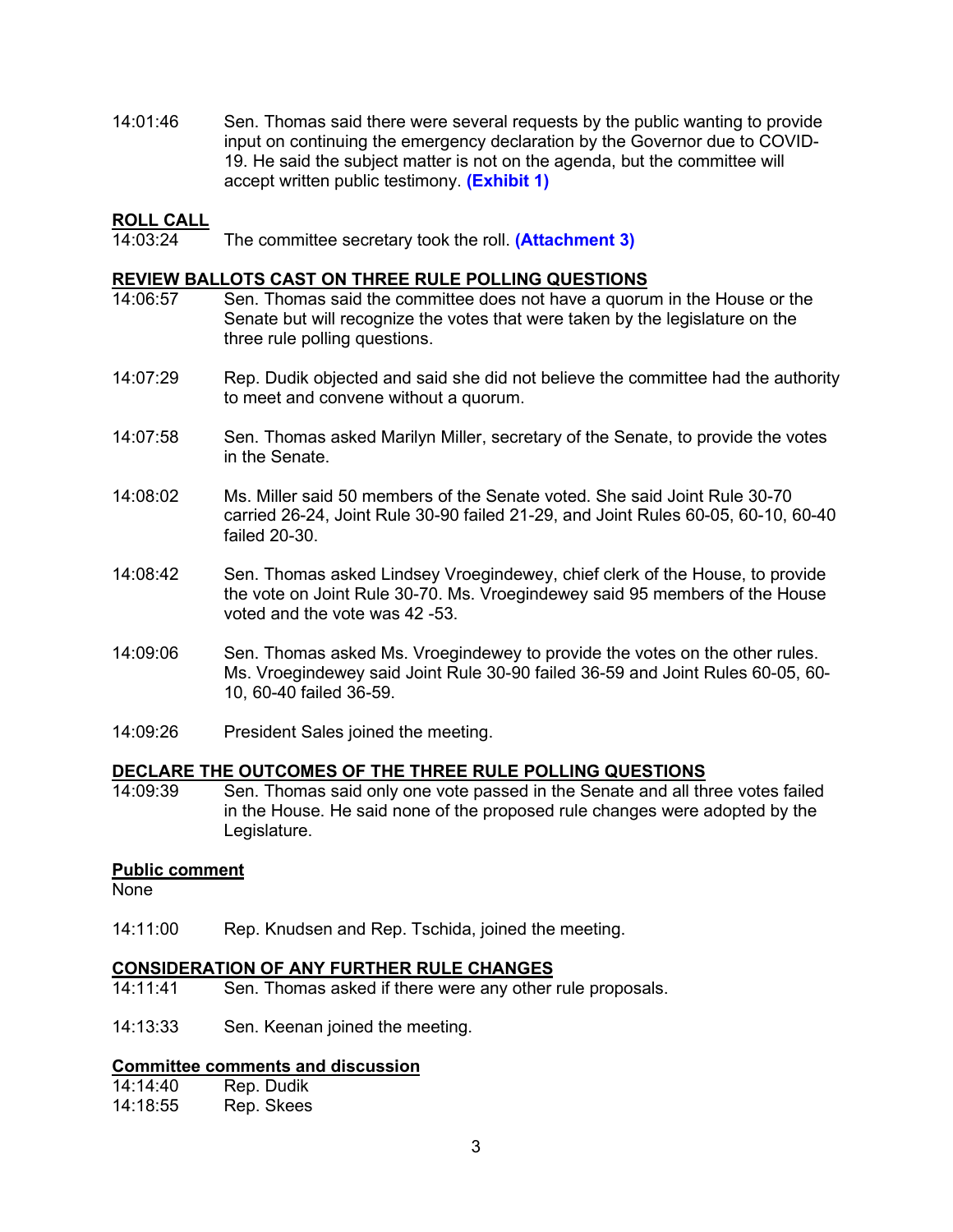14:01:46 Sen. Thomas said there were several requests by the public wanting to provide input on continuing the emergency declaration by the Governor due to COVID-19. He said the subject matter is not on the agenda, but the committee will accept written public testimony. **[\(Exhibit 1\)](https://leg.mt.gov/content/Committees/Administration/Legislative-Council/2019-20/Meetings/JRules9-17/Oct19/Exhibit1.pdf)**

#### **ROLL CALL**

14:03:24 The committee secretary took the roll. **[\(Attachment 3\)](https://leg.mt.gov/content/Committees/Administration/Legislative-Council/2019-20/Meetings/JRules9-17/Oct19/Attachment3.pdf)**

#### **REVIEW BALLOTS CAST ON THREE RULE POLLING QUESTIONS**

- 14:06:57 Sen. Thomas said the committee does not have a quorum in the House or the Senate but will recognize the votes that were taken by the legislature on the three rule polling questions.
- 14:07:29 Rep. Dudik objected and said she did not believe the committee had the authority to meet and convene without a quorum.
- 14:07:58 Sen. Thomas asked Marilyn Miller, secretary of the Senate, to provide the votes in the Senate.
- 14:08:02 Ms. Miller said 50 members of the Senate voted. She said Joint Rule 30-70 carried 26-24, Joint Rule 30-90 failed 21-29, and Joint Rules 60-05, 60-10, 60-40 failed 20-30.
- 14:08:42 Sen. Thomas asked Lindsey Vroegindewey, chief clerk of the House, to provide the vote on Joint Rule 30-70. Ms. Vroegindewey said 95 members of the House voted and the vote was 42 -53.
- 14:09:06 Sen. Thomas asked Ms. Vroegindewey to provide the votes on the other rules. Ms. Vroegindewey said Joint Rule 30-90 failed 36-59 and Joint Rules 60-05, 60- 10, 60-40 failed 36-59.
- 14:09:26 President Sales joined the meeting.

# **DECLARE THE OUTCOMES OF THE THREE RULE POLLING QUESTIONS**

Sen. Thomas said only one vote passed in the Senate and all three votes failed in the House. He said none of the proposed rule changes were adopted by the Legislature.

#### **Public comment**

None

14:11:00 Rep. Knudsen and Rep. Tschida, joined the meeting.

#### **CONSIDERATION OF ANY FURTHER RULE CHANGES**

- 14:11:41 Sen. Thomas asked if there were any other rule proposals.
- 14:13:33 Sen. Keenan joined the meeting.

#### **Committee comments and discussion**

| 14:14:40 | Rep. Dudik |
|----------|------------|
| 14:18:55 | Rep. Skees |